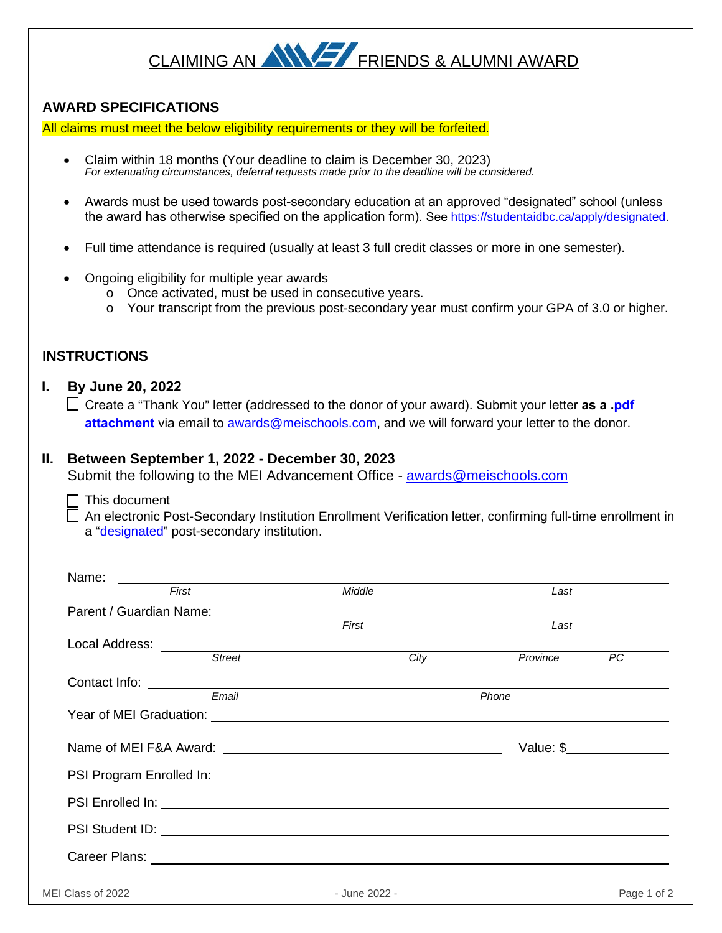# CLAIMING AN ANY FRIENDS & ALUMNI AWARD

## **AWARD SPECIFICATIONS**

All claims must meet the below eligibility requirements or they will be forfeited.

- Claim within 18 months (Your deadline to claim is December 30, 2023) *For extenuating circumstances, deferral requests made prior to the deadline will be considered.*
- Awards must be used towards post-secondary education at an approved "designated" school (unless the award has otherwise specified on the application form). See [https://studentaidbc.ca/apply/designated.](https://studentaidbc.ca/apply/designated)
- Full time attendance is required (usually at least 3 full credit classes or more in one semester).
- Ongoing eligibility for multiple year awards
	- o Once activated, must be used in consecutive years.
	- $\circ$  Your transcript from the previous post-secondary year must confirm your GPA of 3.0 or higher.

## **INSTRUCTIONS**

#### **I. By June 20, 2022**

Create a "Thank You" letter (addressed to the donor of your award). Submit your letter **as a .pdf attachment** via email to [awards@meischools.com,](mailto:awards@meischools.com) and we will forward your letter to the donor.

### **II. Between September 1, 2022 - December 30, 2023**

Submit the following to the MEI Advancement Office - [awards@meischools.com](mailto:awards@meischools.com)

This document

 An electronic Post-Secondary Institution Enrollment Verification letter, confirming full-time enrollment in a ["designated"](https://studentaidbc.ca/apply/designated) post-secondary institution.

| <u> 1989 - Andrea Andrew Maria (h. 1989).</u><br>First                                                         | Middle | Last                                                                                                                                                                                                                                                                                                                  |
|----------------------------------------------------------------------------------------------------------------|--------|-----------------------------------------------------------------------------------------------------------------------------------------------------------------------------------------------------------------------------------------------------------------------------------------------------------------------|
|                                                                                                                |        |                                                                                                                                                                                                                                                                                                                       |
|                                                                                                                | First  | Last                                                                                                                                                                                                                                                                                                                  |
|                                                                                                                |        |                                                                                                                                                                                                                                                                                                                       |
|                                                                                                                | City   | Province<br>$\overline{PC}$                                                                                                                                                                                                                                                                                           |
|                                                                                                                |        |                                                                                                                                                                                                                                                                                                                       |
| Email                                                                                                          | Phone  |                                                                                                                                                                                                                                                                                                                       |
|                                                                                                                |        |                                                                                                                                                                                                                                                                                                                       |
|                                                                                                                |        |                                                                                                                                                                                                                                                                                                                       |
|                                                                                                                |        | Value: $\frac{1}{2}$ $\frac{1}{2}$ $\frac{1}{2}$ $\frac{1}{2}$ $\frac{1}{2}$ $\frac{1}{2}$ $\frac{1}{2}$ $\frac{1}{2}$ $\frac{1}{2}$ $\frac{1}{2}$ $\frac{1}{2}$ $\frac{1}{2}$ $\frac{1}{2}$ $\frac{1}{2}$ $\frac{1}{2}$ $\frac{1}{2}$ $\frac{1}{2}$ $\frac{1}{2}$ $\frac{1}{2}$ $\frac{1}{2}$ $\frac{1}{2}$ $\frac{$ |
|                                                                                                                |        |                                                                                                                                                                                                                                                                                                                       |
|                                                                                                                |        |                                                                                                                                                                                                                                                                                                                       |
| PSI Student ID: 2000 CONTENTS TO STATE THE CONTENT OF THE CONTENT OF THE CONTENT OF THE CONTENT OF THE CONTENT |        |                                                                                                                                                                                                                                                                                                                       |
|                                                                                                                |        |                                                                                                                                                                                                                                                                                                                       |